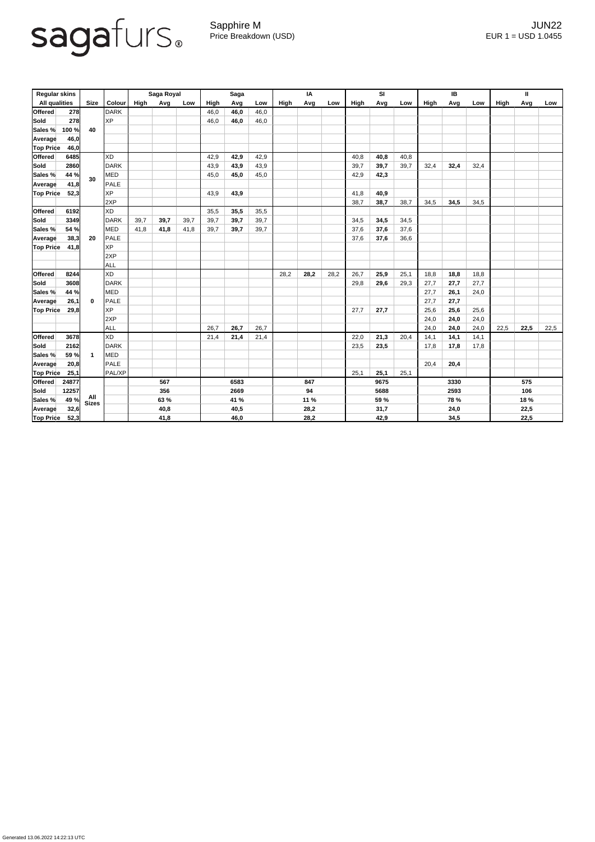## sagafurs.

Generated 13.06.2022 14:22:13 UTC

Sapphire M JUN22 Price Breakdown (USD) error and the USD 1.0455

| <b>Regular skins</b> |            |                         |               | Saga Royal |      | <b>Saga</b> |      |      | IA   |      |      | <b>SI</b> |             |      | IB          |      |      | $\mathbf{I}$ |             |      |      |
|----------------------|------------|-------------------------|---------------|------------|------|-------------|------|------|------|------|------|-----------|-------------|------|-------------|------|------|--------------|-------------|------|------|
| <b>All qualities</b> |            | <b>Size</b>             | <b>Colour</b> | High       | Avg  | Low         | High | Avg  | Low  | High | Avg  | Low       | <b>High</b> | Avg  | Low         | High | Avg  | Low          | <b>High</b> | Avg  | Low  |
| <b>Offered</b>       | <b>278</b> |                         | DARK          |            |      |             | 46,0 | 46,0 | 46,0 |      |      |           |             |      |             |      |      |              |             |      |      |
| <b>Sold</b>          | 278        |                         | <b>XP</b>     |            |      |             | 46,0 | 46,0 | 46,0 |      |      |           |             |      |             |      |      |              |             |      |      |
| Sales %              | 100 %      | 40                      |               |            |      |             |      |      |      |      |      |           |             |      |             |      |      |              |             |      |      |
| Average              | 46,0       |                         |               |            |      |             |      |      |      |      |      |           |             |      |             |      |      |              |             |      |      |
| <b>Top Price</b>     | 46,0       |                         |               |            |      |             |      |      |      |      |      |           |             |      |             |      |      |              |             |      |      |
| <b>Offered</b>       | 6485       |                         | XD            |            |      |             | 42,9 | 42,9 | 42,9 |      |      |           | 40,8        | 40,8 | 40,8        |      |      |              |             |      |      |
| Sold                 | 2860       | 30                      | <b>DARK</b>   |            |      |             | 43,9 | 43,9 | 43,9 |      |      |           | 39,7        | 39,7 | 39,7        | 32,4 | 32,4 | 32,4         |             |      |      |
| Sales %              | 44 %       |                         | <b>MED</b>    |            |      |             | 45,0 | 45,0 | 45,0 |      |      |           | 42,9        | 42,3 |             |      |      |              |             |      |      |
| Average              | 41,8       |                         | PALE          |            |      |             |      |      |      |      |      |           |             |      |             |      |      |              |             |      |      |
| <b>Top Price</b>     | 52,3       |                         | <b>XP</b>     |            |      |             | 43,9 | 43,9 |      |      |      |           | 41,8        | 40,9 |             |      |      |              |             |      |      |
|                      |            |                         | 2XP           |            |      |             |      |      |      |      |      |           | 38,7        | 38,7 | 38,7        | 34,5 | 34,5 | 34,5         |             |      |      |
| <b>Offered</b>       | 6192       |                         | XD            |            |      |             | 35,5 | 35,5 | 35,5 |      |      |           |             |      |             |      |      |              |             |      |      |
| Sold                 | 3349       | 20                      | DARK          | 39,7       | 39,7 | 39,7        | 39,7 | 39,7 | 39,7 |      |      |           | 34,5        | 34,5 | 34,5        |      |      |              |             |      |      |
| Sales %              | 54 %       |                         | MED           | 41,8       | 41,8 | 41,8        | 39,7 | 39,7 | 39,7 |      |      |           | 37,6        | 37,6 | 37,6        |      |      |              |             |      |      |
| Average              | 38,3       |                         | PALE          |            |      |             |      |      |      |      |      |           | 37,6        | 37,6 | 36,6        |      |      |              |             |      |      |
| <b>Top Price</b>     | 41,8       |                         | <b>XP</b>     |            |      |             |      |      |      |      |      |           |             |      |             |      |      |              |             |      |      |
|                      |            |                         | 2XP           |            |      |             |      |      |      |      |      |           |             |      |             |      |      |              |             |      |      |
|                      |            |                         | ALL           |            |      |             |      |      |      |      |      |           |             |      |             |      |      |              |             |      |      |
| <b>Offered</b>       | 8244       |                         | XD            |            |      |             |      |      |      | 28,2 | 28,2 | 28,2      | 26,7        | 25,9 | 25,1        | 18,8 | 18,8 | 18,8         |             |      |      |
| <b>Sold</b>          | 3608       | $\mathbf 0$             | <b>DARK</b>   |            |      |             |      |      |      |      |      |           | 29,8        | 29,6 | 29,3        | 27,7 | 27,7 | 27,7         |             |      |      |
| Sales %              | 44 %       |                         | MED           |            |      |             |      |      |      |      |      |           |             |      |             | 27,7 | 26,1 | 24,0         |             |      |      |
| Average              | 26,1       |                         | PALE          |            |      |             |      |      |      |      |      |           |             |      |             | 27,7 | 27,7 |              |             |      |      |
| <b>Top Price</b>     | 29,8       |                         | <b>XP</b>     |            |      |             |      |      |      |      |      |           | 27,7        | 27,7 |             | 25,6 | 25,6 | 25,6         |             |      |      |
|                      |            |                         | 2XP           |            |      |             |      |      |      |      |      |           |             |      |             | 24,0 | 24,0 | 24,0         |             |      |      |
|                      |            |                         | ALL           |            |      |             | 26,7 | 26,7 | 26,7 |      |      |           |             |      |             | 24,0 | 24,0 | 24,0         | 22,5        | 22,5 | 22,5 |
| <b>Offered</b>       | 3678       |                         | <b>XD</b>     |            |      |             | 21,4 | 21,4 | 21,4 |      |      |           | 22,0        | 21,3 | 20,4        | 14,1 | 14,1 | 14,1         |             |      |      |
| Sold                 | 2162       |                         | DARK          |            |      |             |      |      |      |      |      |           | 23,5        | 23,5 |             | 17,8 | 17,8 | 17,8         |             |      |      |
| <b>Sales %</b>       | 59 %       | $\overline{\mathbf{1}}$ | <b>MED</b>    |            |      |             |      |      |      |      |      |           |             |      |             |      |      |              |             |      |      |
| <b>Average</b>       | 20,8       |                         | PALE          |            |      |             |      |      |      |      |      |           |             |      |             | 20,4 | 20,4 |              |             |      |      |
| <b>Top Price</b>     | 25,1       |                         | PAL/XP        |            |      |             |      |      |      |      |      |           | 25,1        | 25,1 | 25,1        |      |      |              |             |      |      |
| <b>Offered</b>       | 24877      |                         |               | 567        |      | 6583        |      |      | 847  |      |      | 9675      |             |      | 3330        |      |      | 575          |             |      |      |
| Sold                 | 12257      |                         |               | 356        |      |             | 2669 |      |      | 94   |      |           | 5688        |      |             | 2593 |      |              | 106         |      |      |
| Sales %              | 49 %       | All<br>Sizes            |               | 63 %       |      | 41 %        |      |      | 11 % |      |      | 59 %      |             |      | <b>78 %</b> |      |      | 18 %         |             |      |      |
| <b>Average</b>       | 32,6       |                         |               | 40,8       |      | 40,5        |      |      | 28,2 |      |      | 31,7      |             |      | 24,0        |      |      | 22,5         |             |      |      |
| <b>Top Price</b>     | 52,3       |                         |               | 41,8       |      | 46,0        |      |      | 28,2 |      |      | 42,9      |             |      | 34,5        |      |      | 22,5         |             |      |      |